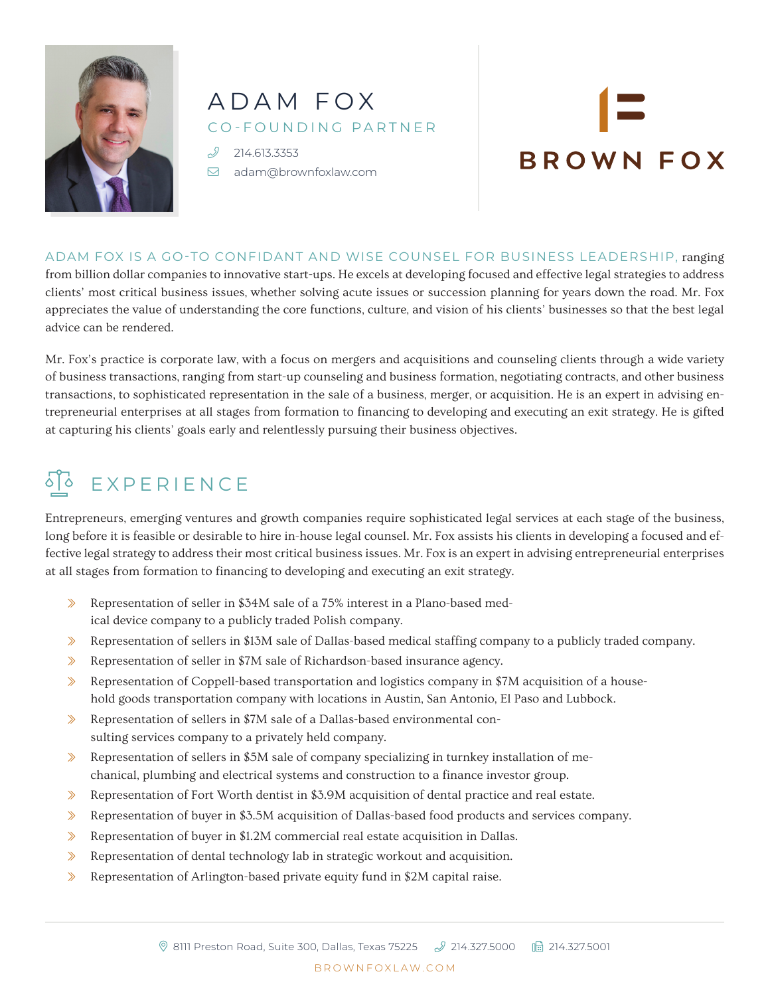

## ADAM FOX CO-FOUNDING PARTNER

 214.613.3353 [adam@brownfoxlaw.com](mailto:adam%40brownfoxlaw.com?subject=)

# **BROWN FOX**

ADAM FOX IS A GO-TO CONFIDANT AND WISE COUNSEL FOR BUSINESS LEADERSHIP, ranging from billion dollar companies to innovative start-ups. He excels at developing focused and effective legal strategies to address clients' most critical business issues, whether solving acute issues or succession planning for years down the road. Mr. Fox appreciates the value of understanding the core functions, culture, and vision of his clients' businesses so that the best legal advice can be rendered.

Mr. Fox's practice is corporate law, with a focus on mergers and acquisitions and counseling clients through a wide variety of business transactions, ranging from start-up counseling and business formation, negotiating contracts, and other business transactions, to sophisticated representation in the sale of a business, merger, or acquisition. He is an expert in advising entrepreneurial enterprises at all stages from formation to financing to developing and executing an exit strategy. He is gifted at capturing his clients' goals early and relentlessly pursuing their business objectives.

# STO EXPERIENCE

Entrepreneurs, emerging ventures and growth companies require sophisticated legal services at each stage of the business, long before it is feasible or desirable to hire in-house legal counsel. Mr. Fox assists his clients in developing a focused and effective legal strategy to address their most critical business issues. Mr. Fox is an expert in advising entrepreneurial enterprises at all stages from formation to financing to developing and executing an exit strategy.

- ɀ Representation of seller in \$34M sale of a 75% interest in a Plano-based medical device company to a publicly traded Polish company.
- ɀ Representation of sellers in \$13M sale of Dallas-based medical staffing company to a publicly traded company.
- ɀ Representation of seller in \$7M sale of Richardson-based insurance agency.
- $\gg$  Representation of Coppell-based transportation and logistics company in \$7M acquisition of a household goods transportation company with locations in Austin, San Antonio, El Paso and Lubbock.
- ɀ Representation of sellers in \$7M sale of a Dallas-based environmental consulting services company to a privately held company.
- $\gg$  Representation of sellers in \$5M sale of company specializing in turnkey installation of mechanical, plumbing and electrical systems and construction to a finance investor group.
- ɀ Representation of Fort Worth dentist in \$3.9M acquisition of dental practice and real estate.
- ɀ Representation of buyer in \$3.5M acquisition of Dallas-based food products and services company.
- ɀ Representation of buyer in \$1.2M commercial real estate acquisition in Dallas.
- ɀ Representation of dental technology lab in strategic workout and acquisition.
- ɀ Representation of Arlington-based private equity fund in \$2M capital raise.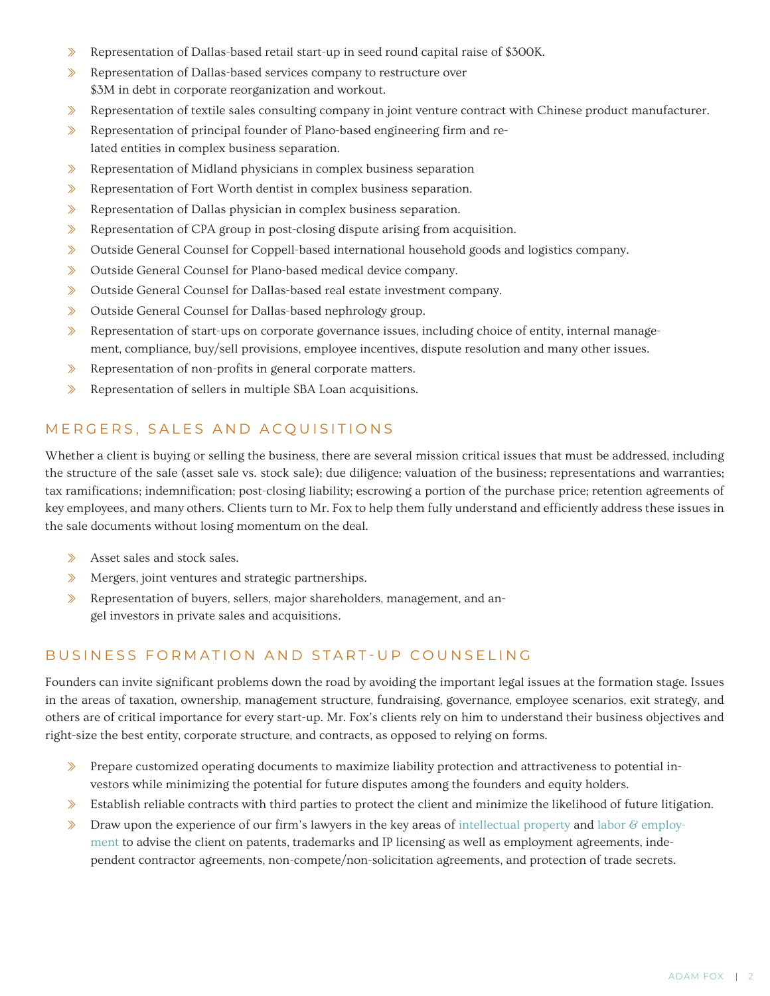- ɀ Representation of Dallas-based retail start-up in seed round capital raise of \$300K.
- ɀ Representation of Dallas-based services company to restructure over \$3M in debt in corporate reorganization and workout.
- ɀ Representation of textile sales consulting company in joint venture contract with Chinese product manufacturer.
- ɀ Representation of principal founder of Plano-based engineering firm and related entities in complex business separation.
- ɀ Representation of Midland physicians in complex business separation
- ɀ Representation of Fort Worth dentist in complex business separation.
- ɀ Representation of Dallas physician in complex business separation.
- ɀ Representation of CPA group in post-closing dispute arising from acquisition.
- ɀ Outside General Counsel for Coppell-based international household goods and logistics company.
- ɀ Outside General Counsel for Plano-based medical device company.
- ɀ Outside General Counsel for Dallas-based real estate investment company.
- ɀ Outside General Counsel for Dallas-based nephrology group.
- $\gg$  Representation of start-ups on corporate governance issues, including choice of entity, internal management, compliance, buy/sell provisions, employee incentives, dispute resolution and many other issues.
- ɀ Representation of non-profits in general corporate matters.
- ɀ Representation of sellers in multiple SBA Loan acquisitions.

#### MERGERS, SALES AND ACQUISITIONS

Whether a client is buying or selling the business, there are several mission critical issues that must be addressed, including the structure of the sale (asset sale vs. stock sale); due diligence; valuation of the business; representations and warranties; tax ramifications; indemnification; post-closing liability; escrowing a portion of the purchase price; retention agreements of key employees, and many others. Clients turn to Mr. Fox to help them fully understand and efficiently address these issues in the sale documents without losing momentum on the deal.

- > Asset sales and stock sales.
- ɀ Mergers, joint ventures and strategic partnerships.
- ɀ Representation of buyers, sellers, major shareholders, management, and angel investors in private sales and acquisitions.

#### BUSINESS FORMATION AND START-UP COUNSELING

Founders can invite significant problems down the road by avoiding the important legal issues at the formation stage. Issues in the areas of taxation, ownership, management structure, fundraising, governance, employee scenarios, exit strategy, and others are of critical importance for every start-up. Mr. Fox's clients rely on him to understand their business objectives and right-size the best entity, corporate structure, and contracts, as opposed to relying on forms.

- ɀ Prepare customized operating documents to maximize liability protection and attractiveness to potential investors while minimizing the potential for future disputes among the founders and equity holders.
- $\gg$  Establish reliable contracts with third parties to protect the client and minimize the likelihood of future litigation.
- $\gg$  Draw upon the experience of our firm's lawyers in the key areas of [intellectual property](http://www.brownfoxlaw.com/svs-ip.php) and labor  $\&$  employ[ment](http://www.brownfoxlaw.com/svs-empcounseling.php) to advise the client on patents, trademarks and IP licensing as well as employment agreements, independent contractor agreements, non-compete/non-solicitation agreements, and protection of trade secrets.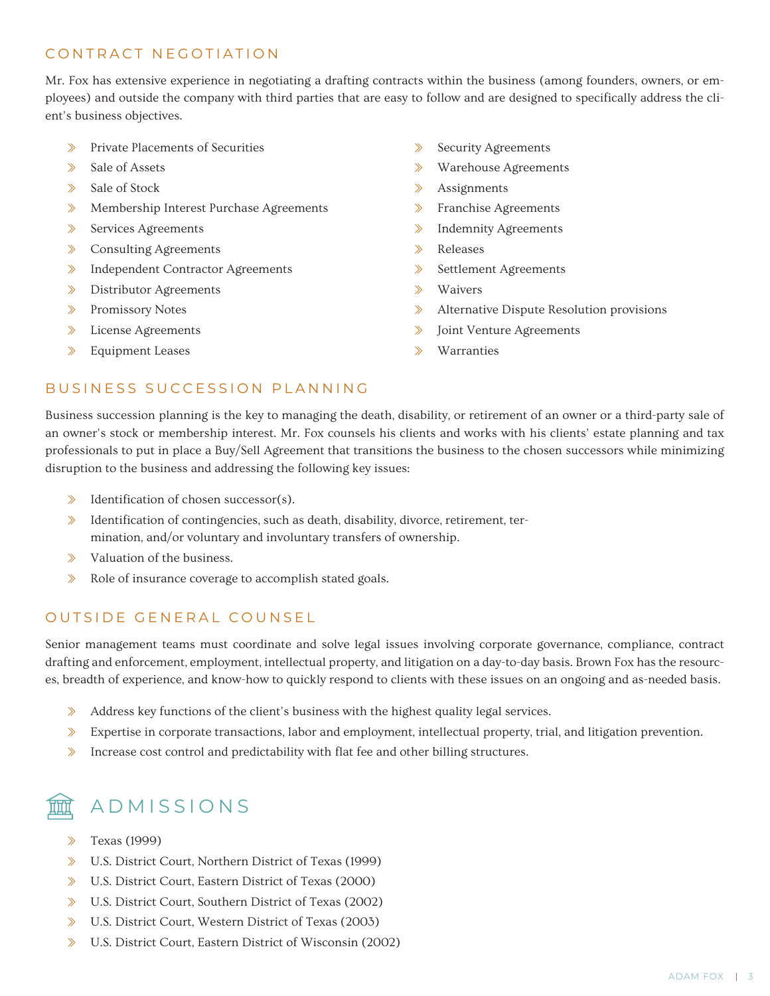#### CONTRACT NEGOTIATION

Mr. Fox has extensive experience in negotiating a drafting contracts within the business (among founders, owners, or employees) and outside the company with third parties that are easy to follow and are designed to specifically address the client's business objectives.

- ɀ Private Placements of Securities
- ɀ Sale of Assets
- ɀ Sale of Stock
- ɀ Membership Interest Purchase Agreements
- ɀ Services Agreements
- ɀ Consulting Agreements
- > Independent Contractor Agreements
- ɀ Distributor Agreements
- ɀ Promissory Notes
- ɀ License Agreements
- ɀ Equipment Leases
- ɀ Security Agreements
- ɀ Warehouse Agreements
- ɀ Assignments
- ɀ Franchise Agreements
- ɀ Indemnity Agreements
- ɀ Releases
- ɀ Settlement Agreements
- ɀ Waivers
- ɀ Alternative Dispute Resolution provisions
- ɀ Joint Venture Agreements
- ɀ Warranties

#### BUSINESS SUCCESSION PLANNING

Business succession planning is the key to managing the death, disability, or retirement of an owner or a third-party sale of an owner's stock or membership interest. Mr. Fox counsels his clients and works with his clients' estate planning and tax professionals to put in place a Buy/Sell Agreement that transitions the business to the chosen successors while minimizing disruption to the business and addressing the following key issues:

- $\Diamond$  Identification of chosen successor(s).
- ɀ Identification of contingencies, such as death, disability, divorce, retirement, termination, and/or voluntary and involuntary transfers of ownership.
- ɀ Valuation of the business.
- ɀ Role of insurance coverage to accomplish stated goals.

#### OUTSIDE GENERAL COUNSEL

Senior management teams must coordinate and solve legal issues involving corporate governance, compliance, contract drafting and enforcement, employment, intellectual property, and litigation on a day-to-day basis. Brown Fox has the resources, breadth of experience, and know-how to quickly respond to clients with these issues on an ongoing and as-needed basis.

- ɀ Address key functions of the client's business with the highest quality legal services.
- ɀ Expertise in corporate transactions, labor and employment, intellectual property, trial, and litigation prevention.
- ɀ Increase cost control and predictability with flat fee and other billing structures.



### ADMISSIONS

- ɀ Texas (1999)
- ɀ U.S. District Court, Northern District of Texas (1999)
- ɀ U.S. District Court, Eastern District of Texas (2000)
- ɀ U.S. District Court, Southern District of Texas (2002)
- ɀ U.S. District Court, Western District of Texas (2003)
- ɀ U.S. District Court, Eastern District of Wisconsin (2002)